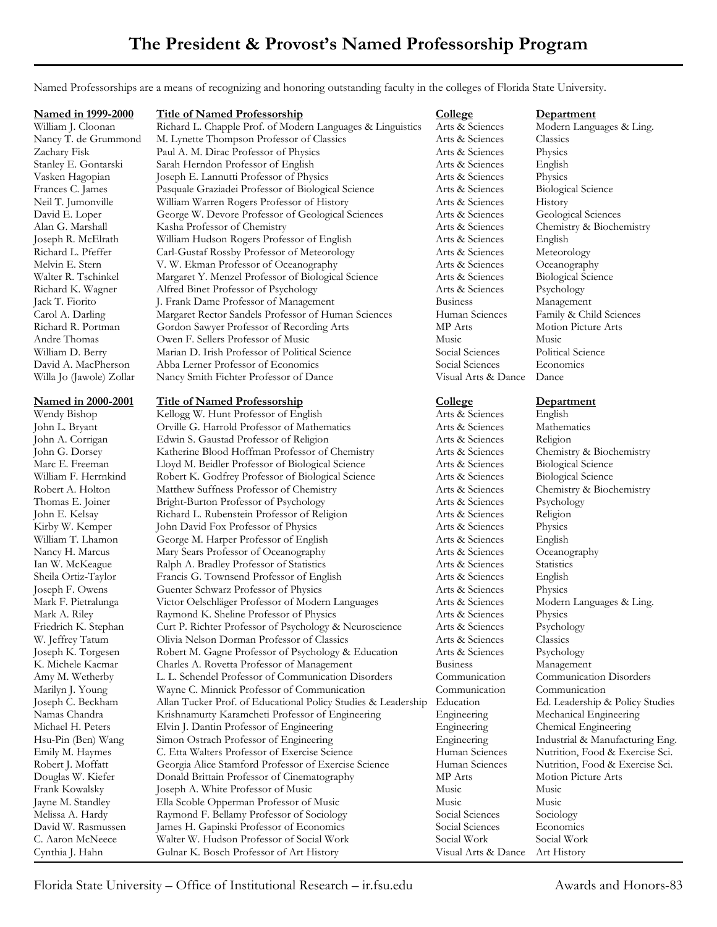Named Professorships are a means of recognizing and honoring outstanding faculty in the colleges of Florida State University.

| <b>Named in 1999-2000</b> | <b>Title of Named Professorship</b>                                                          | College                            | <b>Department</b>                                       |
|---------------------------|----------------------------------------------------------------------------------------------|------------------------------------|---------------------------------------------------------|
| William J. Cloonan        | Richard L. Chapple Prof. of Modern Languages & Linguistics                                   | Arts & Sciences                    | Modern Languages & Ling.                                |
| Nancy T. de Grummond      | M. Lynette Thompson Professor of Classics                                                    | Arts & Sciences                    | Classics                                                |
| Zachary Fisk              | Paul A. M. Dirac Professor of Physics                                                        | Arts & Sciences                    | Physics                                                 |
| Stanley E. Gontarski      | Sarah Herndon Professor of English                                                           | Arts & Sciences                    | English                                                 |
| Vasken Hagopian           | Joseph E. Lannutti Professor of Physics                                                      | Arts & Sciences                    | Physics                                                 |
| Frances C. James          | Pasquale Graziadei Professor of Biological Science                                           | Arts & Sciences                    | <b>Biological Science</b>                               |
| Neil T. Jumonville        | William Warren Rogers Professor of History                                                   | Arts & Sciences                    | History                                                 |
| David E. Loper            | George W. Devore Professor of Geological Sciences                                            | Arts & Sciences                    | Geological Sciences                                     |
| Alan G. Marshall          | Kasha Professor of Chemistry                                                                 | Arts & Sciences                    | Chemistry & Biochemistry                                |
| Joseph R. McElrath        | William Hudson Rogers Professor of English                                                   | Arts & Sciences                    | English                                                 |
| Richard L. Pfeffer        | Carl-Gustaf Rossby Professor of Meteorology                                                  | Arts & Sciences                    | Meteorology                                             |
| Melvin E. Stern           | V. W. Ekman Professor of Oceanography                                                        | Arts & Sciences                    | Oceanography                                            |
| Walter R. Tschinkel       | Margaret Y. Menzel Professor of Biological Science                                           | Arts & Sciences                    | <b>Biological Science</b>                               |
| Richard K. Wagner         | Alfred Binet Professor of Psychology                                                         | Arts & Sciences                    | Psychology                                              |
| Jack T. Fiorito           | J. Frank Dame Professor of Management                                                        | <b>Business</b>                    | Management                                              |
| Carol A. Darling          | Margaret Rector Sandels Professor of Human Sciences                                          | Human Sciences                     | Family & Child Sciences                                 |
| Richard R. Portman        | Gordon Sawyer Professor of Recording Arts                                                    | MP Arts                            | Motion Picture Arts                                     |
| Andre Thomas              | Owen F. Sellers Professor of Music                                                           | Music                              | Music                                                   |
| William D. Berry          |                                                                                              |                                    |                                                         |
|                           | Marian D. Irish Professor of Political Science                                               | Social Sciences<br>Social Sciences | Political Science                                       |
| David A. MacPherson       | Abba Lerner Professor of Economics                                                           |                                    | Economics                                               |
| Willa Jo (Jawole) Zollar  | Nancy Smith Fichter Professor of Dance                                                       | Visual Arts & Dance                | Dance                                                   |
| Named in 2000-2001        | <b>Title of Named Professorship</b>                                                          | <b>College</b>                     | Department                                              |
| Wendy Bishop              | Kellogg W. Hunt Professor of English                                                         | Arts & Sciences                    | English                                                 |
| John L. Bryant            | Orville G. Harrold Professor of Mathematics                                                  | Arts & Sciences                    | Mathematics                                             |
| John A. Corrigan          | Edwin S. Gaustad Professor of Religion                                                       | Arts & Sciences                    | Religion                                                |
| John G. Dorsey            | Katherine Blood Hoffman Professor of Chemistry                                               | Arts & Sciences                    | Chemistry & Biochemistry                                |
| Marc E. Freeman           | Lloyd M. Beidler Professor of Biological Science                                             | Arts & Sciences                    | <b>Biological Science</b>                               |
| William F. Herrnkind      | Robert K. Godfrey Professor of Biological Science                                            | Arts & Sciences                    | <b>Biological Science</b>                               |
| Robert A. Holton          | Matthew Suffness Professor of Chemistry                                                      | Arts & Sciences                    | Chemistry & Biochemistry                                |
| Thomas E. Joiner          | Bright-Burton Professor of Psychology                                                        | Arts & Sciences                    | Psychology                                              |
| John E. Kelsay            | Richard L. Rubenstein Professor of Religion                                                  | Arts & Sciences                    | Religion                                                |
| Kirby W. Kemper           | John David Fox Professor of Physics                                                          | Arts & Sciences                    | Physics                                                 |
| William T. Lhamon         | George M. Harper Professor of English                                                        | Arts & Sciences                    | English                                                 |
| Nancy H. Marcus           | Mary Sears Professor of Oceanography                                                         | Arts & Sciences                    | Oceanography                                            |
| Ian W. McKeague           | Ralph A. Bradley Professor of Statistics                                                     | Arts & Sciences                    | Statistics                                              |
| Sheila Ortiz-Taylor       | Francis G. Townsend Professor of English                                                     | Arts & Sciences                    | English                                                 |
| Joseph F. Owens           | Guenter Schwarz Professor of Physics                                                         | Arts & Sciences                    | Physics                                                 |
| Mark F. Pietralunga       | Victor Oelschläger Professor of Modern Languages                                             | Arts & Sciences                    | Modern Languages & Ling.                                |
| Mark A. Riley             | Raymond K. Sheline Professor of Physics                                                      | Arts & Sciences                    | Physics                                                 |
| Friedrich K. Stephan      | Curt P. Richter Professor of Psychology & Neuroscience                                       | Arts & Sciences                    | Psychology                                              |
| W. Jeffrey Tatum          | Olivia Nelson Dorman Professor of Classics                                                   | Arts & Sciences                    | Classics                                                |
| Joseph K. Torgesen        | Robert M. Gagne Professor of Psychology & Education                                          | Arts & Sciences                    | Psychology                                              |
| K. Michele Kacmar         | Charles A. Rovetta Professor of Management                                                   | <b>Business</b>                    | Management                                              |
| Amy M. Wetherby           | L. L. Schendel Professor of Communication Disorders                                          | Communication                      | <b>Communication Disorders</b>                          |
| Marilyn J. Young          | Wayne C. Minnick Professor of Communication                                                  | Communication                      | Communication                                           |
| Joseph C. Beckham         |                                                                                              | Education                          |                                                         |
| Namas Chandra             | Allan Tucker Prof. of Educational Policy Studies & Leadership                                | Engineering                        | Ed. Leadership & Policy Studies                         |
| Michael H. Peters         | Krishnamurty Karamcheti Professor of Engineering<br>Elvin J. Dantin Professor of Engineering | Engineering                        | Mechanical Engineering                                  |
| Hsu-Pin (Ben) Wang        |                                                                                              | Engineering                        | Chemical Engineering<br>Industrial & Manufacturing Eng. |
|                           | Simon Ostrach Professor of Engineering                                                       | Human Sciences                     | Nutrition, Food & Exercise Sci.                         |
| Emily M. Haymes           | C. Etta Walters Professor of Exercise Science                                                | Human Sciences                     |                                                         |
| Robert J. Moffatt         | Georgia Alice Stamford Professor of Exercise Science                                         |                                    | Nutrition, Food & Exercise Sci.                         |
| Douglas W. Kiefer         | Donald Brittain Professor of Cinematography                                                  | MP Arts                            | Motion Picture Arts                                     |
| Frank Kowalsky            | Joseph A. White Professor of Music                                                           | Music                              | Music                                                   |
| Jayne M. Standley         | Ella Scoble Opperman Professor of Music                                                      | Music                              | Music                                                   |
| Melissa A. Hardy          | Raymond F. Bellamy Professor of Sociology                                                    | Social Sciences                    | Sociology                                               |
| David W. Rasmussen        | James H. Gapinski Professor of Economics                                                     | Social Sciences                    | Economics                                               |
| C. Aaron McNeece          | Walter W. Hudson Professor of Social Work                                                    | Social Work                        | Social Work                                             |
| Cynthia J. Hahn           | Gulnar K. Bosch Professor of Art History                                                     | Visual Arts & Dance                | Art History                                             |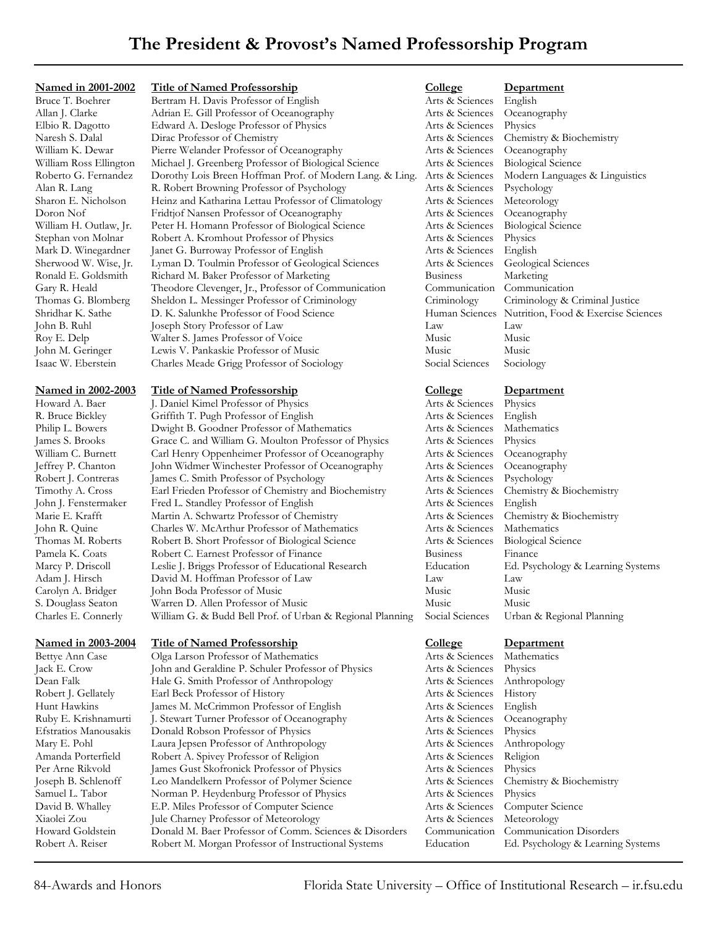Bertram H. Davis Professor of English Arts & Sciences English Allan J. Clarke Adrian E. Gill Professor of Oceanography Arts & Sciences Oceanography Elbio R. Dagotto Edward A. Desloge Professor of Physics Arts & Sciences Physics Naresh S. Dalal Dirac Professor of Chemistry Arts & Sciences Chemistry & Biochemistry William K. Dewar Pierre Welander Professor of Oceanography Arts & Sciences Oceanography William Ross Ellington Michael J. Greenberg Professor of Biological Science Arts & Sciences Biological Science Roberto G. Fernandez Dorothy Lois Breen Hoffman Prof. of Modern Lang. & Ling. Arts & Sciences Modern Languages & Linguistics Alan R. Lang R. Robert Browning Professor of Psychology Arts & Sciences Psychology Sharon E. Nicholson Heinz and Katharina Lettau Professor of Climatology Arts & Sciences Meteorology Doron Nof Fridtjof Nansen Professor of Oceanography Arts & Sciences Oceanography William H. Outlaw, Jr. Peter H. Homann Professor of Biological Science Arts & Sciences Biological Science Stephan von Molnar Robert A. Kromhout Professor of Physics Arts & Sciences Physics<br>Mark D. Winegardner Janet G. Burroway Professor of English Arts & Sciences English Janet G. Burroway Professor of English Sherwood W. Wise, Jr. Lyman D. Toulmin Professor of Geological Sciences Arts & Sciences Geological Sciences Ronald E. Goldsmith Richard M. Baker Professor of Marketing Business Marketing Gary R. Heald Theodore Clevenger, Jr., Professor of Communication Communication Communication Thomas G. Blomberg Sheldon L. Messinger Professor of Criminology Criminology Criminology & Criminal Justice<br>Shridhar K. Sathe D. K. Salunkhe Professor of Food Science Human Sciences Nutrition, Food & Exercise Science Shridhar K. Sathe D. K. Salunkhe Professor of Food Science Human Sciences Nutrition, Food & Exercise Sciences John B. Ruhl Joseph Story Professor of Law Law Law Roy E. Delp Walter S. James Professor of Voice Music Music Music John M. Geringer Lewis V. Pankaskie Professor of Music Music Music Isaac W. Eberstein Charles Meade Grigg Professor of Sociology Social Sciences Sociology

**Named in 2002-2003 Title of Named Professorship College Department**<br>
Howard A. Baer **L. Daniel Kimel Professor of Physics College Arts & Sciences** Physics J. Daniel Kimel Professor of Physics Art R. Bruce Bickley Griffith T. Pugh Professor of English Arts Arts Philip L. Bowers Dwight B. Goodner Professor of Mathematics Arts & Sciences Mathematics James S. Brooks Grace C. and William G. Moulton Professor of Physics Arts & Sciences Physics William C. Burnett Carl Henry Oppenheimer Professor of Oceanography Art Jeffrey P. Chanton John Widmer Winchester Professor of Oceanography Art Robert J. Contreras James C. Smith Professor of Psychology Art Timothy A. Cross Earl Frieden Professor of Chemistry and Biochemistry Art John J. Fenstermaker Fred L. Standley Professor of English Art Marie E. Krafft Martin A. Schwartz Professor of Chemistry Art John R. Quine Charles W. McArthur Professor of Mathematics Art Thomas M. Roberts Robert B. Short Professor of Biological Science Art Pamela K. Coats Robert C. Earnest Professor of Finance Business For Marcy P. Driscoll Leslie J. Briggs Professor of Educational Research Ed Adam J. Hirsch David M. Hoffman Professor of Law Law Carolyn A. Bridger John Boda Professor of Music Music Music S. Douglass Seaton Warren D. Allen Professor of Music Music Music Charles E. Connerly William G. & Budd Bell Prof. of Urban & Regional Planning Soc

**Named in 2003-2004 Title of Named Professorship College Department** Olga Larson Professor of Mathematics Jack E. Crow John and Geraldine P. Schuler Professor of Physics Arts & Sciences Physics Dean Falk Hale G. Smith Professor of Anthropology Arts & Sciences Anthropology Robert J. Gellately Earl Beck Professor of History Arts & Sciences History Hunt Hawkins James M. McCrimmon Professor of English Arts & Sciences English Ruby E. Krishnamurti J. Stewart Turner Professor of Oceanography Arts & Sciences Oceanography Efstratios Manousakis Donald Robson Professor of Physics Arts & Sciences Physics Mary E. Pohl Laura Jepsen Professor of Anthropology Arts & Sciences Anthropology Amanda Porterfield Robert A. Spivey Professor of Religion Arts & Sciences Religion Per Arne Rikvold James Gust Skofronick Professor of Physics Arts & Sciences Physics Joseph B. Schlenoff Leo Mandelkern Professor of Polymer Science Arts & Sciences Chemistry & Biochemistry Samuel L. Tabor Norman P. Heydenburg Professor of Physics Arts & Sciences Physics David B. Whalley E.P. Miles Professor of Computer Science Arts & Sciences Computer Science Xiaolei Zou Jule Charney Professor of Meteorology Arts & Sciences Meteorology Howard Goldstein Donald M. Baer Professor of Comm. Sciences & Disorders Communication Communication Disorders Robert A. Reiser Robert M. Morgan Professor of Instructional Systems Education Ed. Psychology & Learning Systems

# **Named in 2001-2002 Title of Named Professorship College Department**<br>Bruce T. Boehrer Bertram H. Davis Professor of English *Arts & Sciences* English

| $ -$          | <u> 22 partiment</u>              |
|---------------|-----------------------------------|
| ts & Sciences | Physics                           |
| ts & Sciences | English                           |
| ts & Sciences | Mathematics                       |
| ts & Sciences | Physics                           |
| ts & Sciences | Oceanography                      |
| ts & Sciences | Oceanography                      |
| ts & Sciences | Psychology                        |
| ts & Sciences | Chemistry & Biochemistry          |
| ts & Sciences | English                           |
| ts & Sciences | Chemistry & Biochemistry          |
| ts & Sciences | Mathematics                       |
| ts & Sciences | <b>Biological Science</b>         |
| siness        | Finance                           |
| ucation       | Ed. Psychology & Learning Systems |
| $_{\rm V}$    | Law                               |
| isic          | Music                             |
| isic          | Music                             |
| cial Sciences | Urban & Regional Planning         |